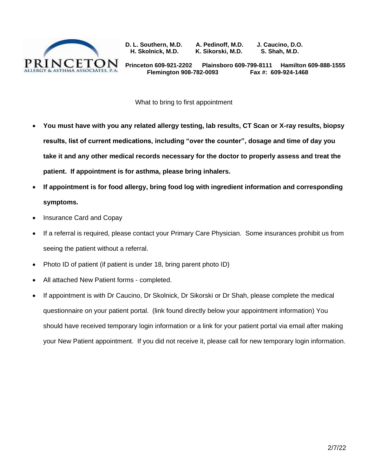

**D. L. Southern, M.D. A. Pedinoff, M.D. J. Caucino, D.O. H. Skolnick, M.D. K. Sikorski, M.D. S. Shah, M.D.** 

**Princeton 609-921-2202 Plainsboro 609-799-8111 Hamilton 609-888-1555 Flemington 908-782-0093 Fax #: 609-924-1468**

What to bring to first appointment

- **You must have with you any related allergy testing, lab results, CT Scan or X-ray results, biopsy results, list of current medications, including "over the counter", dosage and time of day you take it and any other medical records necessary for the doctor to properly assess and treat the patient. If appointment is for asthma, please bring inhalers.**
- **If appointment is for food allergy, bring food log with ingredient information and corresponding symptoms.**
- Insurance Card and Copay
- If a referral is required, please contact your Primary Care Physician. Some insurances prohibit us from seeing the patient without a referral.
- Photo ID of patient (if patient is under 18, bring parent photo ID)
- All attached New Patient forms completed.
- If appointment is with Dr Caucino, Dr Skolnick, Dr Sikorski or Dr Shah, please complete the medical questionnaire on your patient portal. (link found directly below your appointment information) You should have received temporary login information or a link for your patient portal via email after making your New Patient appointment. If you did not receive it, please call for new temporary login information.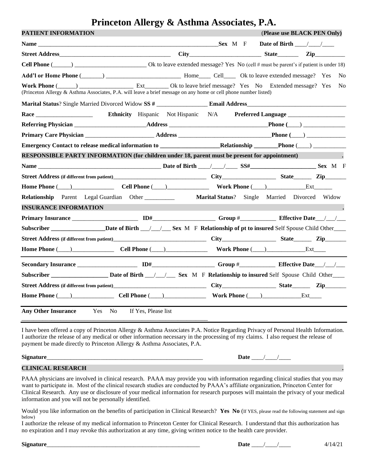# **Princeton Allergy & Asthma Associates, P.A.**

| PATIENT INFORMATION                                                                                                                                                                                                                  |                                                                      |                                                                                                                      |  |  | (Please use BLACK PEN Only)         |
|--------------------------------------------------------------------------------------------------------------------------------------------------------------------------------------------------------------------------------------|----------------------------------------------------------------------|----------------------------------------------------------------------------------------------------------------------|--|--|-------------------------------------|
|                                                                                                                                                                                                                                      |                                                                      |                                                                                                                      |  |  |                                     |
|                                                                                                                                                                                                                                      |                                                                      |                                                                                                                      |  |  |                                     |
|                                                                                                                                                                                                                                      |                                                                      |                                                                                                                      |  |  |                                     |
|                                                                                                                                                                                                                                      |                                                                      |                                                                                                                      |  |  |                                     |
| Work Phone (Comparison Lines and External City of the leave brief message? Yes No Extended message? Yes No<br>(Princeton Allergy & Asthma Associates, P.A. will leave a brief message on any home or cell phone number listed)       |                                                                      |                                                                                                                      |  |  |                                     |
|                                                                                                                                                                                                                                      |                                                                      |                                                                                                                      |  |  |                                     |
| Race and the state of the state of the state of the state of the state of the state of the state of the state of the state of the state of the state of the state of the state of the state of the state of the state of the s       | <b>Ethnicity</b> Hispanic Not Hispanic N/A <b>Preferred Language</b> |                                                                                                                      |  |  |                                     |
|                                                                                                                                                                                                                                      |                                                                      |                                                                                                                      |  |  |                                     |
|                                                                                                                                                                                                                                      |                                                                      |                                                                                                                      |  |  |                                     |
|                                                                                                                                                                                                                                      |                                                                      |                                                                                                                      |  |  |                                     |
| <b>RESPONSIBLE PARTY INFORMATION (for children under 18, parent must be present for appointment)</b>                                                                                                                                 |                                                                      |                                                                                                                      |  |  | and the contract of the contract of |
|                                                                                                                                                                                                                                      |                                                                      |                                                                                                                      |  |  |                                     |
|                                                                                                                                                                                                                                      |                                                                      |                                                                                                                      |  |  |                                     |
|                                                                                                                                                                                                                                      |                                                                      |                                                                                                                      |  |  |                                     |
| <b>Relationship</b> Parent Legal Guardian Other                                                                                                                                                                                      |                                                                      | Marital Status? Single Married Divorced Widow                                                                        |  |  |                                     |
| <b>INSURANCE INFORMATION</b>                                                                                                                                                                                                         |                                                                      | <u> 1989 - Johann Stein, marwolaethau a bhann an t-Amhair an t-Amhair an t-Amhair an t-Amhair an t-Amhair an t-A</u> |  |  |                                     |
|                                                                                                                                                                                                                                      |                                                                      |                                                                                                                      |  |  |                                     |
| Subscriber ______________________Date of Birth ___/___/ ____ Sex M F Relationship of pt to insured Self Spouse Child Other                                                                                                           |                                                                      |                                                                                                                      |  |  |                                     |
|                                                                                                                                                                                                                                      |                                                                      |                                                                                                                      |  |  |                                     |
| Home Phone (Call Phone (Call Phone (Call Phone Call Phone Call Phone Call Phone Call Phone Call Phone Call Phone Call Phone Call Phone Call Phone Call Phone Call Phone Call Phone Call Phone Call Phone Call Phone Call Phone       |                                                                      |                                                                                                                      |  |  |                                     |
|                                                                                                                                                                                                                                      |                                                                      |                                                                                                                      |  |  |                                     |
|                                                                                                                                                                                                                                      |                                                                      |                                                                                                                      |  |  |                                     |
|                                                                                                                                                                                                                                      |                                                                      |                                                                                                                      |  |  |                                     |
| <b>Home Phone (Case Cold Phone (Case Cold Phone Cold Phone Cold Phone Cold Phone Cold Phone Cold Phone Cold Phone Cold Phone Cold Phone Cold Phone Cold Phone Cold Phone Cold Phone Cold Phone Cold Phone Cold Phone Cold Phone </b> |                                                                      |                                                                                                                      |  |  |                                     |
| Any Other Insurance Yes No If Yes, Please list                                                                                                                                                                                       |                                                                      |                                                                                                                      |  |  |                                     |

I have been offered a copy of Princeton Allergy & Asthma Associates P.A. Notice Regarding Privacy of Personal Health Information. I authorize the release of any medical or other information necessary in the processing of my claims. I also request the release of payment be made directly to Princeton Allergy & Asthma Associates, P.A.

| Sigr |                                 |  |
|------|---------------------------------|--|
|      | the contract of the contract of |  |

#### **CLINICAL RESEARCH .**

PAAA physicians are involved in clinical research. PAAA may provide you with information regarding clinical studies that you may want to participate in. Most of the clinical research studies are conducted by PAAA's affiliate organization, Princeton Center for Clinical Research. Any use or disclosure of your medical information for research purposes will maintain the privacy of your medical information and you will not be personally identified.

Would you like information on the benefits of participation in Clinical Research? Yes No (If YES, please read the following statement and sign below)

I authorize the release of my medical information to Princeton Center for Clinical Research. I understand that this authorization has no expiration and I may revoke this authorization at any time, giving written notice to the health care provider.

| Signature | Jate | . |
|-----------|------|---|
|           |      |   |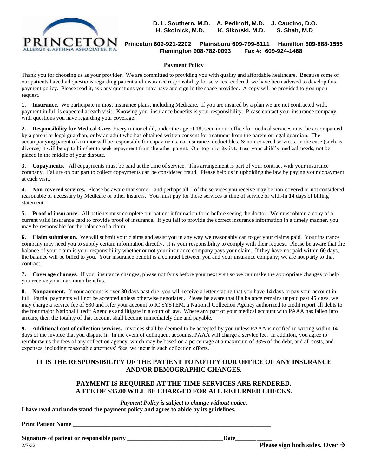

**D. L. Southern, M.D. A. Pedinoff, M.D. J. Caucino, D.O. H. Skolnick, M.D. K. Sikorski, M.D. S. Shah, M.D** 

#### **Princeton 609-921-2202 Plainsboro 609-799-8111 Hamilton 609-888-1555 Flemington 908-782-0093 Fax #: 609-924-1468**

#### **Payment Policy**

Thank you for choosing us as your provider. We are committed to providing you with quality and affordable healthcare. Because some of our patients have had questions regarding patient and insurance responsibility for services rendered, we have been advised to develop this payment policy. Please read it, ask any questions you may have and sign in the space provided. A copy will be provided to you upon request.

**1. Insurance.** We participate in most insurance plans, including Medicare. If you are insured by a plan we are not contracted with, payment in full is expected at each visit. Knowing your insurance benefits is your responsibility. Please contact your insurance company with questions you have regarding your coverage.

**2. Responsibility for Medical Care.** Every minor child, under the age of 18, seen in our office for medical services must be accompanied by a parent or legal guardian, or by an adult who has obtained written consent for treatment from the parent or legal guardian. The accompanying parent of a minor will be responsible for copayments, co-insurance, deductibles, & non-covered services. In the case (such as divorce) it will be up to him/her to seek repayment from the other parent. Our top priority is to treat your child's medical needs, not be placed in the middle of your dispute.

**3. Copayments.** All copayments must be paid at the time of service. This arrangement is part of your contract with your insurance company. Failure on our part to collect copayments can be considered fraud. Please help us in upholding the law by paying your copayment at each visit.

**4. Non-covered services.** Please be aware that some – and perhaps all – of the services you receive may be non-covered or not considered reasonable or necessary by Medicare or other insurers. You must pay for these services at time of service or with-in **14** days of billing statement.

**5. Proof of insurance.** All patients must complete our patient information form before seeing the doctor. We must obtain a copy of a current valid insurance card to provide proof of insurance. If you fail to provide the correct insurance information in a timely manner, you may be responsible for the balance of a claim.

**6. Claim submission.** We will submit your claims and assist you in any way we reasonably can to get your claims paid. Your insurance company may need you to supply certain information directly. It is your responsibility to comply with their request. Please be aware that the balance of your claim is your responsibility whether or not your insurance company pays your claim. If they have not paid within **60** days, the balance will be billed to you. Your insurance benefit is a contract between you and your insurance company; we are not party to that contract.

**7. Coverage changes.** If your insurance changes, please notify us before your next visit so we can make the appropriate changes to help you receive your maximum benefits.

**8. Nonpayment.** If your account is over **30** days past due, you will receive a letter stating that you have **14** days to pay your account in full. Partial payments will not be accepted unless otherwise negotiated. Please be aware that if a balance remains unpaid past **45** days, we may charge a service fee of \$30 and refer your account to IC SYSTEM, a National Collection Agency authorized to credit report all debts to the four major National Credit Agencies and litigate in a court of law. Where any part of your medical account with PAAA has fallen into arrears, then the totality of that account shall become immediately due and payable.

**9. Additional cost of collection services.** Invoices shall be deemed to be accepted by you unless PAAA is notified in writing within **14** days of the invoice that you dispute it. In the event of delinquent accounts, PAAA will charge a service fee. In addition, you agree to reimburse us the fees of any collection agency, which may be based on a percentage at a maximum of 33% of the debt, and all costs, and expenses, including reasonable attorneys' fees, we incur in such collection efforts.

#### **IT IS THE RESPONSIBILITY OF THE PATIENT TO NOTIFY OUR OFFICE OF ANY INSURANCE AND/OR DEMOGRAPHIC CHANGES.**

#### **PAYMENT IS REQUIRED AT THE TIME SERVICES ARE RENDERED. A FEE OF \$35.00 WILL BE CHARGED FOR ALL RETURNED CHECKS.**

*Payment Policy is subject to change without notice***. I have read and understand the payment policy and agree to abide by its guidelines.**

#### **Print Patient Name**

Signature of patient or responsible party \_\_\_\_\_\_\_\_\_\_\_\_\_\_\_\_\_\_\_\_\_\_\_\_\_\_\_\_\_\_\_\_\_\_\_Date\_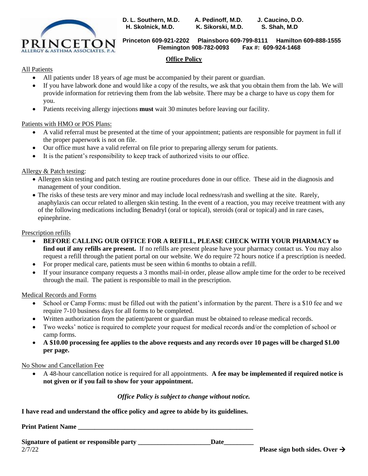

**D. L. Southern, M.D. A. Pedinoff, M.D. J. Caucino, D.O. H. Skolnick, M.D. K. Sikorski, M.D. S. Shah, M.D**

**Princeton 609-921-2202 Plainsboro 609-799-8111 Hamilton 609-888-1555 Flemington 908-782-0093 Fax #: 609-924-1468**

#### **Office Policy**

#### All Patients

- All patients under 18 years of age must be accompanied by their parent or guardian.
- If you have labwork done and would like a copy of the results, we ask that you obtain them from the lab. We will provide information for retrieving them from the lab website. There may be a charge to have us copy them for you.
- Patients receiving allergy injections **must** wait 30 minutes before leaving our facility.

#### Patients with HMO or POS Plans:

- A valid referral must be presented at the time of your appointment; patients are responsible for payment in full if the proper paperwork is not on file.
- Our office must have a valid referral on file prior to preparing allergy serum for patients.
- It is the patient's responsibility to keep track of authorized visits to our office.

#### Allergy & Patch testing:

- Allergen skin testing and patch testing are routine procedures done in our office. These aid in the diagnosis and management of your condition.
- The risks of these tests are very minor and may include local redness/rash and swelling at the site. Rarely, anaphylaxis can occur related to allergen skin testing. In the event of a reaction, you may receive treatment with any of the following medications including Benadryl (oral or topical), steroids (oral or topical) and in rare cases, epinephrine.

#### Prescription refills

- **BEFORE CALLING OUR OFFICE FOR A REFILL, PLEASE CHECK WITH YOUR PHARMACY to find out if any refills are present.** If no refills are present please have your pharmacy contact us. You may also request a refill through the patient portal on our website. We do require 72 hours notice if a prescription is needed.
- For proper medical care, patients must be seen within 6 months to obtain a refill.
- If your insurance company requests a 3 months mail-in order, please allow ample time for the order to be received through the mail. The patient is responsible to mail in the prescription.

#### Medical Records and Forms

- School or Camp Forms: must be filled out with the patient's information by the parent. There is a \$10 fee and we require 7-10 business days for all forms to be completed.
- Written authorization from the patient/parent or guardian must be obtained to release medical records.
- Two weeks' notice is required to complete your request for medical records and/or the completion of school or camp forms.
- **A \$10.00 processing fee applies to the above requests and any records over 10 pages will be charged \$1.00 per page.**

#### No Show and Cancellation Fee

• A 48-hour cancellation notice is required for all appointments. **A fee may be implemented if required notice is not given or if you fail to show for your appointment.**

#### *Office Policy is subject to change without notice.*

**I have read and understand the office policy and agree to abide by its guidelines.**

**Print Patient Name \_\_\_\_\_\_\_\_\_\_\_\_\_\_\_\_\_\_\_\_\_\_\_\_\_\_\_\_\_\_\_\_\_\_\_\_\_\_\_\_\_\_\_\_\_\_\_\_\_\_\_\_\_**

Signature of patient or responsible party \_\_\_\_\_\_\_\_\_\_\_\_\_\_\_\_\_\_\_\_\_Date\_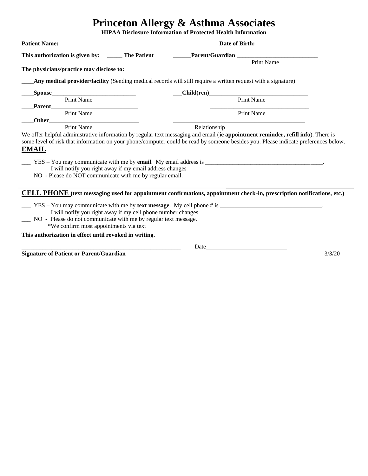# **Princeton Allergy & Asthma Associates**

**HIPAA Disclosure Information of Protected Health Information**

|                                                                                                                                         | This authorization is given by: ________ The Patient __________Parent/Guardian _______________________________                |  |  |
|-----------------------------------------------------------------------------------------------------------------------------------------|-------------------------------------------------------------------------------------------------------------------------------|--|--|
| The physicians/practice may disclose to:                                                                                                | Print Name                                                                                                                    |  |  |
|                                                                                                                                         | Any medical provider/facility (Sending medical records will still require a written request with a signature)                 |  |  |
| _Spouse_____                                                                                                                            |                                                                                                                               |  |  |
| Print Name                                                                                                                              | Child(ren)<br>Print Name                                                                                                      |  |  |
| Print Name                                                                                                                              | Print Name                                                                                                                    |  |  |
| Print Name                                                                                                                              | Relationship                                                                                                                  |  |  |
| <b>EMAIL</b><br>I will notify you right away if my email address changes<br>__ NO - Please do NOT communicate with me by regular email. |                                                                                                                               |  |  |
|                                                                                                                                         | <b>CELL PHONE</b> (text messaging used for appointment confirmations, appointment check-in, prescription notifications, etc.) |  |  |
|                                                                                                                                         | $\angle$ YES – You may communicate with me by text message. My cell phone # is $\angle$                                       |  |  |
| I will notify you right away if my cell phone number changes                                                                            |                                                                                                                               |  |  |
| __ NO - Please do not communicate with me by regular text message.<br>*We confirm most appointments via text                            |                                                                                                                               |  |  |
| This authorization in effect until revoked in writing.                                                                                  |                                                                                                                               |  |  |
|                                                                                                                                         | Date                                                                                                                          |  |  |

**Signature of Patient or Parent/Guardian** 3/3/20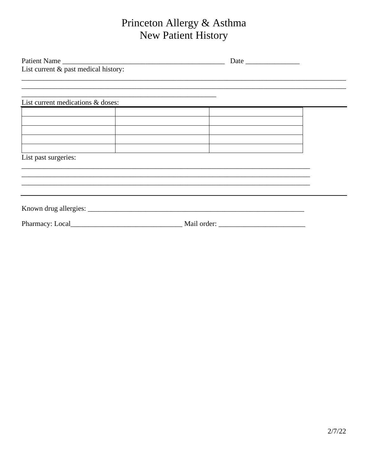# Princeton Allergy & Asthma New Patient History

|                                   | Patient Name<br>List current & past medical history:       |  |  |  |
|-----------------------------------|------------------------------------------------------------|--|--|--|
|                                   |                                                            |  |  |  |
|                                   | <u> 1989 - Johann Stoff, amerikansk politiker (* 1908)</u> |  |  |  |
| List current medications & doses: |                                                            |  |  |  |
|                                   |                                                            |  |  |  |
|                                   |                                                            |  |  |  |
|                                   |                                                            |  |  |  |
|                                   |                                                            |  |  |  |
| List past surgeries:              |                                                            |  |  |  |
|                                   |                                                            |  |  |  |
|                                   |                                                            |  |  |  |
|                                   |                                                            |  |  |  |
|                                   |                                                            |  |  |  |
|                                   |                                                            |  |  |  |
|                                   | Pharmacy: Local Mail order:                                |  |  |  |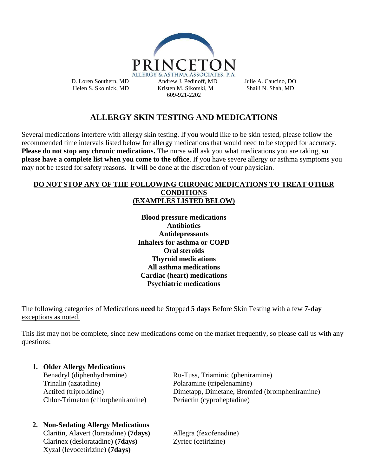

# **ALLERGY SKIN TESTING AND MEDICATIONS**

Several medications interfere with allergy skin testing. If you would like to be skin tested, please follow the recommended time intervals listed below for allergy medications that would need to be stopped for accuracy. **Please do not stop any chronic medications.** The nurse will ask you what medications you are taking, **so please have a complete list when you come to the office**. If you have severe allergy or asthma symptoms you may not be tested for safety reasons. It will be done at the discretion of your physician.

### **DO NOT STOP ANY OF THE FOLLOWING CHRONIC MEDICATIONS TO TREAT OTHER CONDITIONS (EXAMPLES LISTED BELOW)**

**Blood pressure medications Antibiotics Antidepressants Inhalers for asthma or COPD Oral steroids Thyroid medications All asthma medications Cardiac (heart) medications Psychiatric medications**

## The following categories of Medications **need** be Stopped **5 days** Before Skin Testing with a few **7-day** exceptions as noted.

This list may not be complete, since new medications come on the market frequently, so please call us with any questions:

## **1. Older Allergy Medications**

Benadryl (diphenhydramine) Ru-Tuss, Triaminic (pheniramine) Trinalin (azatadine) Polaramine (tripelenamine) Chlor-Trimeton (chlorpheniramine) Periactin (cyproheptadine)

# **2. Non-Sedating Allergy Medications**

Claritin, Alavert (loratadine) **(7days)** Allegra (fexofenadine) Clarinex (desloratadine) **(7days)** Zyrtec (cetirizine) Xyzal (levocetirizine) **(7days)**

Actifed (triprolidine) Dimetapp, Dimetane, Bromfed (brompheniramine)